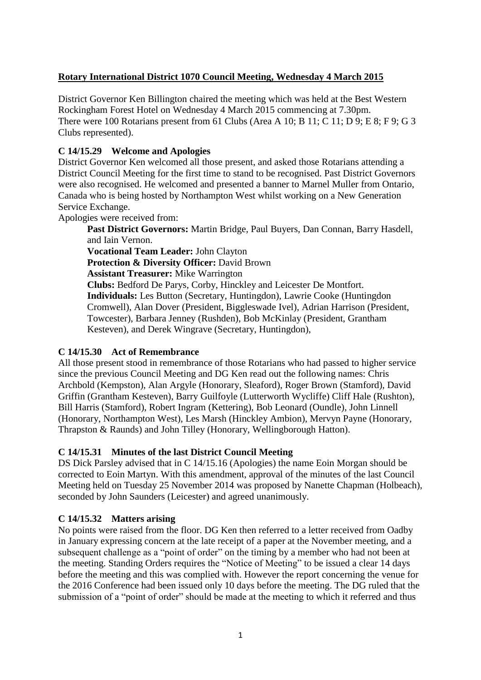# **Rotary International District 1070 Council Meeting, Wednesday 4 March 2015**

District Governor Ken Billington chaired the meeting which was held at the Best Western Rockingham Forest Hotel on Wednesday 4 March 2015 commencing at 7.30pm. There were 100 Rotarians present from 61 Clubs (Area A 10; B 11; C 11; D 9; E 8; F 9; G 3 Clubs represented).

# **C 14/15.29 Welcome and Apologies**

District Governor Ken welcomed all those present, and asked those Rotarians attending a District Council Meeting for the first time to stand to be recognised. Past District Governors were also recognised. He welcomed and presented a banner to Marnel Muller from Ontario, Canada who is being hosted by Northampton West whilst working on a New Generation Service Exchange.

Apologies were received from:

**Past District Governors:** Martin Bridge, Paul Buyers, Dan Connan, Barry Hasdell, and Iain Vernon.

**Vocational Team Leader:** John Clayton

**Protection & Diversity Officer:** David Brown

**Assistant Treasurer:** Mike Warrington

**Clubs:** Bedford De Parys, Corby, Hinckley and Leicester De Montfort. **Individuals:** Les Button (Secretary, Huntingdon), Lawrie Cooke (Huntingdon Cromwell), Alan Dover (President, Biggleswade Ivel), Adrian Harrison (President, Towcester), Barbara Jenney (Rushden), Bob McKinlay (President, Grantham Kesteven), and Derek Wingrave (Secretary, Huntingdon),

# **C 14/15.30 Act of Remembrance**

All those present stood in remembrance of those Rotarians who had passed to higher service since the previous Council Meeting and DG Ken read out the following names: Chris Archbold (Kempston), Alan Argyle (Honorary, Sleaford), Roger Brown (Stamford), David Griffin (Grantham Kesteven), Barry Guilfoyle (Lutterworth Wycliffe) Cliff Hale (Rushton), Bill Harris (Stamford), Robert Ingram (Kettering), Bob Leonard (Oundle), John Linnell (Honorary, Northampton West), Les Marsh (Hinckley Ambion), Mervyn Payne (Honorary, Thrapston & Raunds) and John Tilley (Honorary, Wellingborough Hatton).

# **C 14/15.31 Minutes of the last District Council Meeting**

DS Dick Parsley advised that in C 14/15.16 (Apologies) the name Eoin Morgan should be corrected to Eoin Martyn. With this amendment, approval of the minutes of the last Council Meeting held on Tuesday 25 November 2014 was proposed by Nanette Chapman (Holbeach), seconded by John Saunders (Leicester) and agreed unanimously.

# **C 14/15.32 Matters arising**

No points were raised from the floor. DG Ken then referred to a letter received from Oadby in January expressing concern at the late receipt of a paper at the November meeting, and a subsequent challenge as a "point of order" on the timing by a member who had not been at the meeting. Standing Orders requires the "Notice of Meeting" to be issued a clear 14 days before the meeting and this was complied with. However the report concerning the venue for the 2016 Conference had been issued only 10 days before the meeting. The DG ruled that the submission of a "point of order" should be made at the meeting to which it referred and thus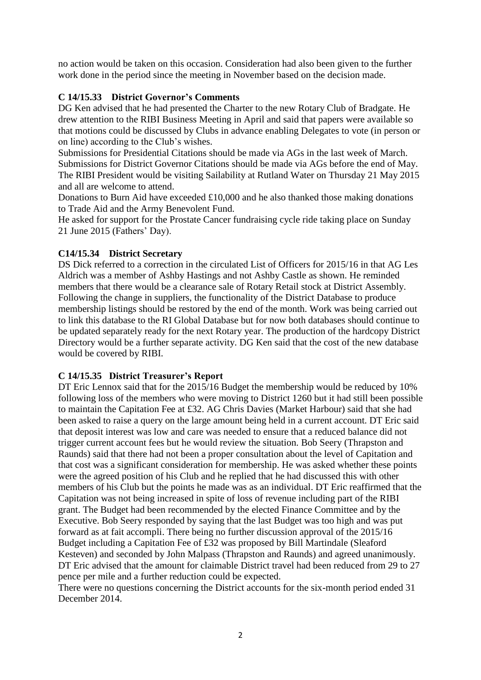no action would be taken on this occasion. Consideration had also been given to the further work done in the period since the meeting in November based on the decision made.

# **C 14/15.33 District Governor's Comments**

DG Ken advised that he had presented the Charter to the new Rotary Club of Bradgate. He drew attention to the RIBI Business Meeting in April and said that papers were available so that motions could be discussed by Clubs in advance enabling Delegates to vote (in person or on line) according to the Club's wishes.

Submissions for Presidential Citations should be made via AGs in the last week of March. Submissions for District Governor Citations should be made via AGs before the end of May. The RIBI President would be visiting Sailability at Rutland Water on Thursday 21 May 2015 and all are welcome to attend.

Donations to Burn Aid have exceeded £10,000 and he also thanked those making donations to Trade Aid and the Army Benevolent Fund.

He asked for support for the Prostate Cancer fundraising cycle ride taking place on Sunday 21 June 2015 (Fathers' Day).

# **C14/15.34 District Secretary**

DS Dick referred to a correction in the circulated List of Officers for 2015/16 in that AG Les Aldrich was a member of Ashby Hastings and not Ashby Castle as shown. He reminded members that there would be a clearance sale of Rotary Retail stock at District Assembly. Following the change in suppliers, the functionality of the District Database to produce membership listings should be restored by the end of the month. Work was being carried out to link this database to the RI Global Database but for now both databases should continue to be updated separately ready for the next Rotary year. The production of the hardcopy District Directory would be a further separate activity. DG Ken said that the cost of the new database would be covered by RIBI.

# **C 14/15.35 District Treasurer's Report**

DT Eric Lennox said that for the 2015/16 Budget the membership would be reduced by 10% following loss of the members who were moving to District 1260 but it had still been possible to maintain the Capitation Fee at £32. AG Chris Davies (Market Harbour) said that she had been asked to raise a query on the large amount being held in a current account. DT Eric said that deposit interest was low and care was needed to ensure that a reduced balance did not trigger current account fees but he would review the situation. Bob Seery (Thrapston and Raunds) said that there had not been a proper consultation about the level of Capitation and that cost was a significant consideration for membership. He was asked whether these points were the agreed position of his Club and he replied that he had discussed this with other members of his Club but the points he made was as an individual. DT Eric reaffirmed that the Capitation was not being increased in spite of loss of revenue including part of the RIBI grant. The Budget had been recommended by the elected Finance Committee and by the Executive. Bob Seery responded by saying that the last Budget was too high and was put forward as at fait accompli. There being no further discussion approval of the 2015/16 Budget including a Capitation Fee of £32 was proposed by Bill Martindale (Sleaford Kesteven) and seconded by John Malpass (Thrapston and Raunds) and agreed unanimously. DT Eric advised that the amount for claimable District travel had been reduced from 29 to 27 pence per mile and a further reduction could be expected.

There were no questions concerning the District accounts for the six-month period ended 31 December 2014.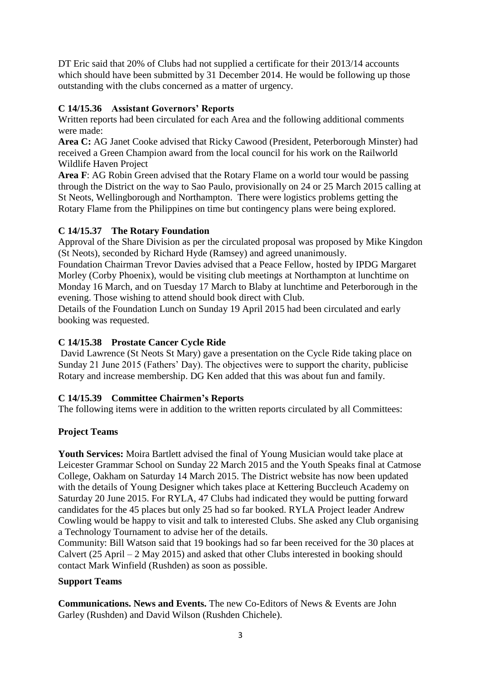DT Eric said that 20% of Clubs had not supplied a certificate for their 2013/14 accounts which should have been submitted by 31 December 2014. He would be following up those outstanding with the clubs concerned as a matter of urgency.

# **C 14/15.36 Assistant Governors' Reports**

Written reports had been circulated for each Area and the following additional comments were made:

**Area C:** AG Janet Cooke advised that Ricky Cawood (President, Peterborough Minster) had received a Green Champion award from the local council for his work on the Railworld Wildlife Haven Project

**Area F**: AG Robin Green advised that the Rotary Flame on a world tour would be passing through the District on the way to Sao Paulo, provisionally on 24 or 25 March 2015 calling at St Neots, Wellingborough and Northampton. There were logistics problems getting the Rotary Flame from the Philippines on time but contingency plans were being explored.

# **C 14/15.37 The Rotary Foundation**

Approval of the Share Division as per the circulated proposal was proposed by Mike Kingdon (St Neots), seconded by Richard Hyde (Ramsey) and agreed unanimously.

Foundation Chairman Trevor Davies advised that a Peace Fellow, hosted by IPDG Margaret Morley (Corby Phoenix), would be visiting club meetings at Northampton at lunchtime on Monday 16 March, and on Tuesday 17 March to Blaby at lunchtime and Peterborough in the evening. Those wishing to attend should book direct with Club.

Details of the Foundation Lunch on Sunday 19 April 2015 had been circulated and early booking was requested.

# **C 14/15.38 Prostate Cancer Cycle Ride**

David Lawrence (St Neots St Mary) gave a presentation on the Cycle Ride taking place on Sunday 21 June 2015 (Fathers' Day). The objectives were to support the charity, publicise Rotary and increase membership. DG Ken added that this was about fun and family.

# **C 14/15.39 Committee Chairmen's Reports**

The following items were in addition to the written reports circulated by all Committees:

# **Project Teams**

**Youth Services:** Moira Bartlett advised the final of Young Musician would take place at Leicester Grammar School on Sunday 22 March 2015 and the Youth Speaks final at Catmose College, Oakham on Saturday 14 March 2015. The District website has now been updated with the details of Young Designer which takes place at Kettering Buccleuch Academy on Saturday 20 June 2015. For RYLA, 47 Clubs had indicated they would be putting forward candidates for the 45 places but only 25 had so far booked. RYLA Project leader Andrew Cowling would be happy to visit and talk to interested Clubs. She asked any Club organising a Technology Tournament to advise her of the details.

Community: Bill Watson said that 19 bookings had so far been received for the 30 places at Calvert (25 April – 2 May 2015) and asked that other Clubs interested in booking should contact Mark Winfield (Rushden) as soon as possible.

# **Support Teams**

**Communications. News and Events.** The new Co-Editors of News & Events are John Garley (Rushden) and David Wilson (Rushden Chichele).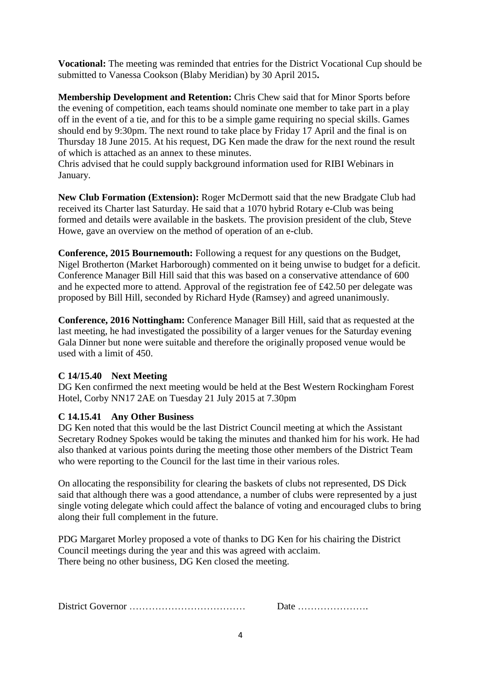**Vocational:** The meeting was reminded that entries for the District Vocational Cup should be submitted to Vanessa Cookson (Blaby Meridian) by 30 April 2015**.**

**Membership Development and Retention:** Chris Chew said that for Minor Sports before the evening of competition, each teams should nominate one member to take part in a play off in the event of a tie, and for this to be a simple game requiring no special skills. Games should end by 9:30pm. The next round to take place by Friday 17 April and the final is on Thursday 18 June 2015. At his request, DG Ken made the draw for the next round the result of which is attached as an annex to these minutes.

Chris advised that he could supply background information used for RIBI Webinars in January.

**New Club Formation (Extension):** Roger McDermott said that the new Bradgate Club had received its Charter last Saturday. He said that a 1070 hybrid Rotary e-Club was being formed and details were available in the baskets. The provision president of the club, Steve Howe, gave an overview on the method of operation of an e-club.

**Conference, 2015 Bournemouth:** Following a request for any questions on the Budget, Nigel Brotherton (Market Harborough) commented on it being unwise to budget for a deficit. Conference Manager Bill Hill said that this was based on a conservative attendance of 600 and he expected more to attend. Approval of the registration fee of £42.50 per delegate was proposed by Bill Hill, seconded by Richard Hyde (Ramsey) and agreed unanimously.

**Conference, 2016 Nottingham:** Conference Manager Bill Hill, said that as requested at the last meeting, he had investigated the possibility of a larger venues for the Saturday evening Gala Dinner but none were suitable and therefore the originally proposed venue would be used with a limit of 450.

# **C 14/15.40 Next Meeting**

DG Ken confirmed the next meeting would be held at the Best Western Rockingham Forest Hotel, Corby NN17 2AE on Tuesday 21 July 2015 at 7.30pm

# **C 14.15.41 Any Other Business**

DG Ken noted that this would be the last District Council meeting at which the Assistant Secretary Rodney Spokes would be taking the minutes and thanked him for his work. He had also thanked at various points during the meeting those other members of the District Team who were reporting to the Council for the last time in their various roles.

On allocating the responsibility for clearing the baskets of clubs not represented, DS Dick said that although there was a good attendance, a number of clubs were represented by a just single voting delegate which could affect the balance of voting and encouraged clubs to bring along their full complement in the future.

PDG Margaret Morley proposed a vote of thanks to DG Ken for his chairing the District Council meetings during the year and this was agreed with acclaim. There being no other business, DG Ken closed the meeting.

District Governor ……………………………… Date ………………….